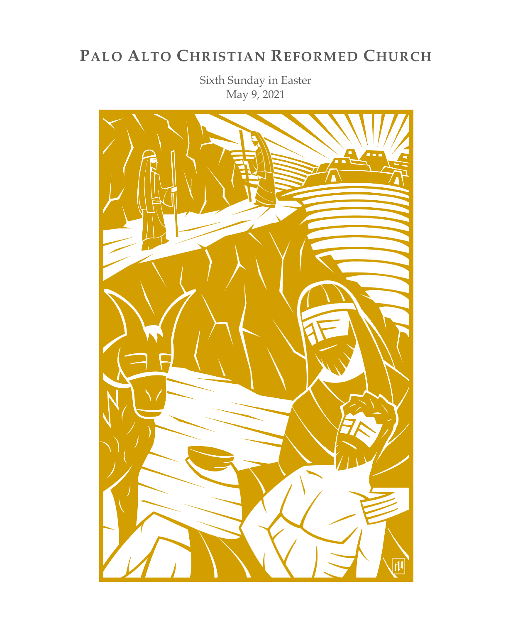# **PALO ALTO CHRISTIAN REFORMED CHURCH**

Sixth Sunday in Easter May 9, 2021

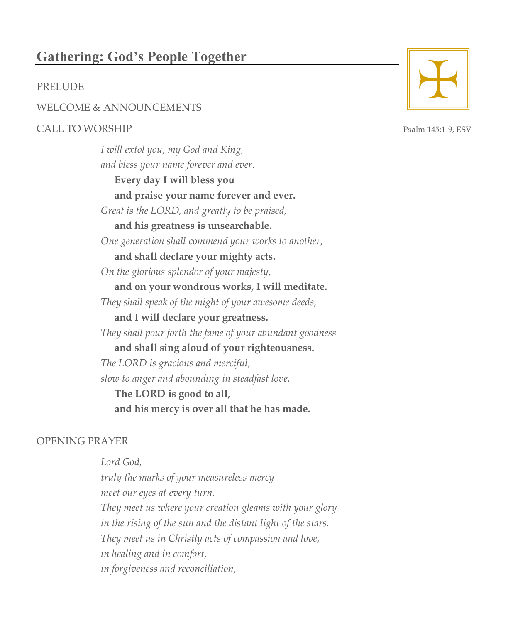# **Gathering: God's People Together**

# PRELUDE

## WELCOME & ANNOUNCEMENTS

# CALL TO WORSHIP Psalm 145:1-9, ESV

*I will extol you, my God and King, and bless your name forever and ever.* **Every day I will bless you and praise your name forever and ever.** *Great is the LORD, and greatly to be praised,* **and his greatness is unsearchable.** *One generation shall commend your works to another,* **and shall declare your mighty acts.** *On the glorious splendor of your majesty,* **and on your wondrous works, I will meditate.** *They shall speak of the might of your awesome deeds,* **and I will declare your greatness.** *They shall pour forth the fame of your abundant goodness* **and shall sing aloud of your righteousness.** *The LORD is gracious and merciful, slow to anger and abounding in steadfast love.* **The LORD is good to all, and his mercy is over all that he has made.**

## OPENING PRAYER

*Lord God, truly the marks of your measureless mercy meet our eyes at every turn. They meet us where your creation gleams with your glory in the rising of the sun and the distant light of the stars. They meet us in Christly acts of compassion and love, in healing and in comfort, in forgiveness and reconciliation,*

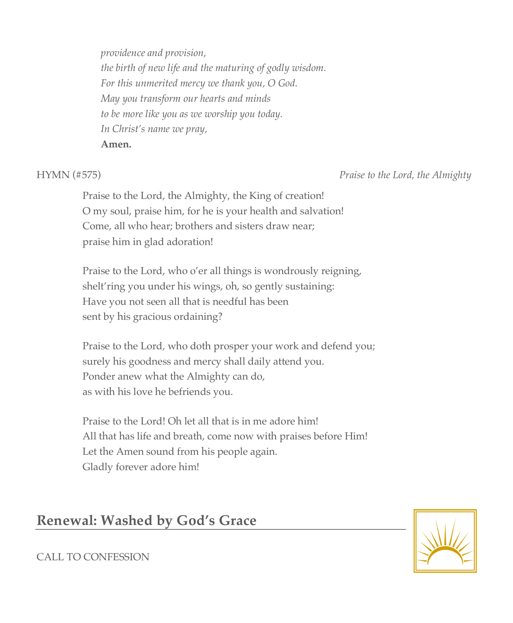*providence and provision, the birth of new life and the maturing of godly wisdom. For this unmerited mercy we thank you, O God. May you transform our hearts and minds to be more like you as we worship you today. In Christ's name we pray,* **Amen.**

HYMN (#575) *Praise to the Lord, the Almighty*

Praise to the Lord, the Almighty, the King of creation! O my soul, praise him, for he is your health and salvation! Come, all who hear; brothers and sisters draw near; praise him in glad adoration!

Praise to the Lord, who o'er all things is wondrously reigning, shelt'ring you under his wings, oh, so gently sustaining: Have you not seen all that is needful has been sent by his gracious ordaining?

Praise to the Lord, who doth prosper your work and defend you; surely his goodness and mercy shall daily attend you. Ponder anew what the Almighty can do, as with his love he befriends you.

Praise to the Lord! Oh let all that is in me adore him! All that has life and breath, come now with praises before Him! Let the Amen sound from his people again. Gladly forever adore him!

# **Renewal: Washed by God's Grace**



## CALL TO CONFESSION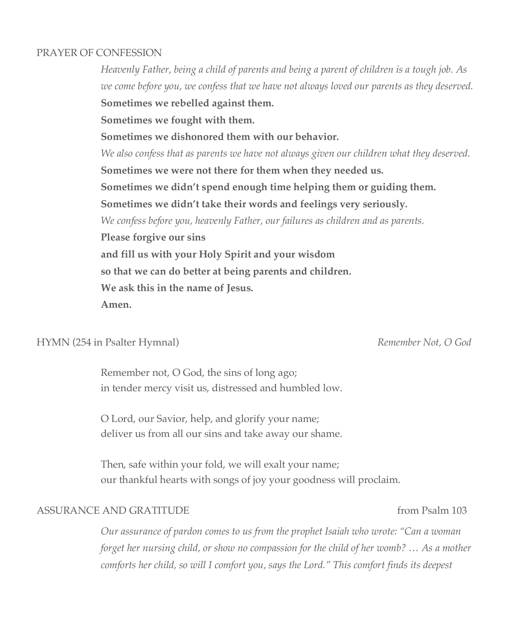## PRAYER OF CONFESSION

*Heavenly Father, being a child of parents and being a parent of children is a tough job. As we come before you, we confess that we have not always loved our parents as they deserved.* **Sometimes we rebelled against them. Sometimes we fought with them. Sometimes we dishonored them with our behavior.** *We also confess that as parents we have not always given our children what they deserved.* **Sometimes we were not there for them when they needed us. Sometimes we didn't spend enough time helping them or guiding them. Sometimes we didn't take their words and feelings very seriously.** *We confess before you, heavenly Father, our failures as children and as parents.* **Please forgive our sins and fill us with your Holy Spirit and your wisdom so that we can do better at being parents and children. We ask this in the name of Jesus. Amen.**

## HYMN (254 in Psalter Hymnal) *Remember Not, O God*

Remember not, O God, the sins of long ago; in tender mercy visit us, distressed and humbled low.

O Lord, our Savior, help, and glorify your name; deliver us from all our sins and take away our shame.

Then, safe within your fold, we will exalt your name; our thankful hearts with songs of joy your goodness will proclaim.

## ASSURANCE AND GRATITUDE from Psalm 103

*Our assurance of pardon comes to us from the prophet Isaiah who wrote: "Can a woman forget her nursing child, or show no compassion for the child of her womb? … As a mother comforts her child, so will I comfort you, says the Lord." This comfort finds its deepest*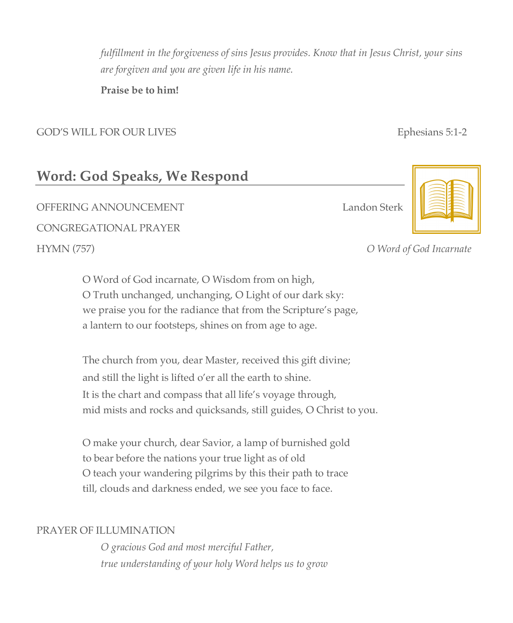*fulfillment in the forgiveness of sins Jesus provides. Know that in Jesus Christ, your sins are forgiven and you are given life in his name.* 

**Praise be to him!**

GOD'S WILL FOR OUR LIVES **Example 2008** Ephesians 5:1-2

OFFERING ANNOUNCEMENT Landon Sterk



**Word: God Speaks, We Respond**

CONGREGATIONAL PRAYER

O Word of God incarnate, O Wisdom from on high, O Truth unchanged, unchanging, O Light of our dark sky: we praise you for the radiance that from the Scripture's page, a lantern to our footsteps, shines on from age to age.

The church from you, dear Master, received this gift divine; and still the light is lifted o'er all the earth to shine. It is the chart and compass that all life's voyage through, mid mists and rocks and quicksands, still guides, O Christ to you.

O make your church, dear Savior, a lamp of burnished gold to bear before the nations your true light as of old O teach your wandering pilgrims by this their path to trace till, clouds and darkness ended, we see you face to face.

# PRAYER OF ILLUMINATION

*O gracious God and most merciful Father, true understanding of your holy Word helps us to grow*

# HYMN (757) *O Word of God Incarnate*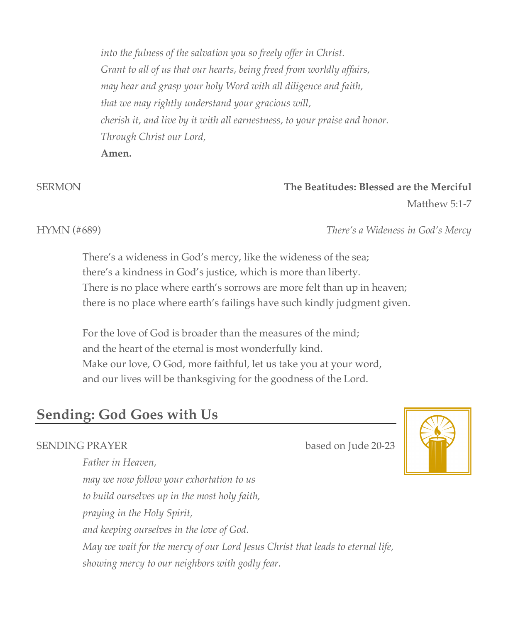*into the fulness of the salvation you so freely offer in Christ. Grant to all of us that our hearts, being freed from worldly affairs, may hear and grasp your holy Word with all diligence and faith, that we may rightly understand your gracious will, cherish it, and live by it with all earnestness, to your praise and honor. Through Christ our Lord,* **Amen.**

# SERMON **The Beatitudes: Blessed are the Merciful**

Matthew 5:1-7

### HYMN (#689) *There's a Wideness in God's Mercy*

There's a wideness in God's mercy, like the wideness of the sea; there's a kindness in God's justice, which is more than liberty. There is no place where earth's sorrows are more felt than up in heaven; there is no place where earth's failings have such kindly judgment given.

For the love of God is broader than the measures of the mind; and the heart of the eternal is most wonderfully kind. Make our love, O God, more faithful, let us take you at your word, and our lives will be thanksgiving for the goodness of the Lord.

# **Sending: God Goes with Us**

# SENDING PRAYER based on Jude 20-23



*Father in Heaven, may we now follow your exhortation to us to build ourselves up in the most holy faith, praying in the Holy Spirit, and keeping ourselves in the love of God. May we wait for the mercy of our Lord Jesus Christ that leads to eternal life, showing mercy to our neighbors with godly fear.*